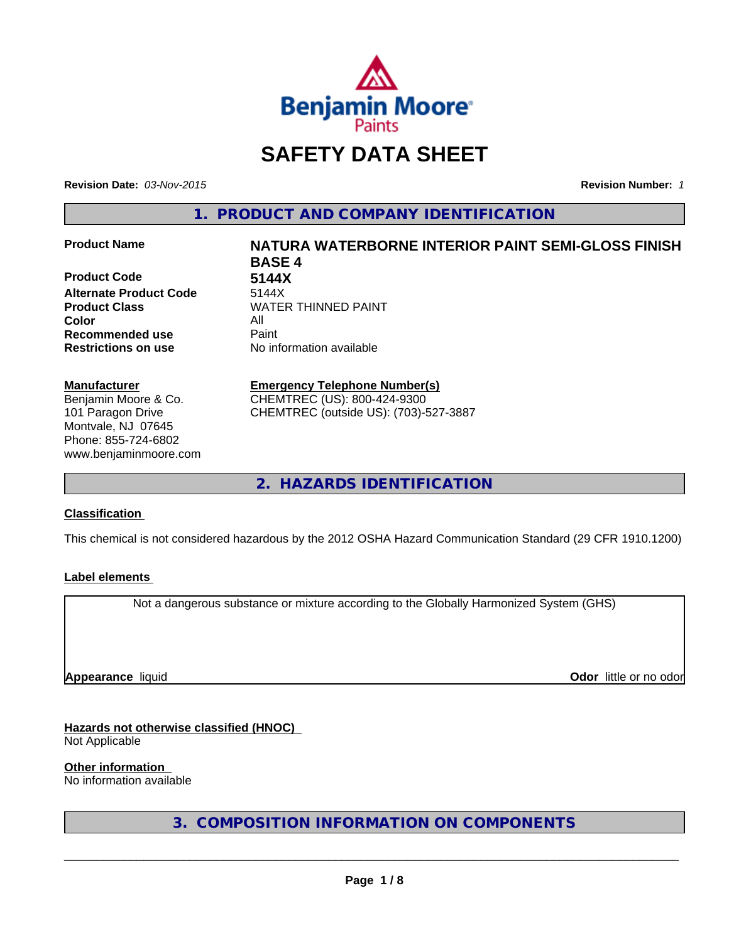

# **SAFETY DATA SHEET**

**Revision Date:** *03-Nov-2015* **Revision Number:** *1*

**1. PRODUCT AND COMPANY IDENTIFICATION**

**Product Code 5144X Alternate Product Code** 5144X **Color** All **Recommended use Paint** 

# **Manufacturer**

Benjamin Moore & Co. 101 Paragon Drive Montvale, NJ 07645 Phone: 855-724-6802 www.benjaminmoore.com

# **Product Name NATURA WATERBORNE INTERIOR PAINT SEMI-GLOSS FINISH BASE 4 Product Class WATER THINNED PAINT**

**Restrictions on use** No information available

#### **Emergency Telephone Number(s)** CHEMTREC (US): 800-424-9300

CHEMTREC (outside US): (703)-527-3887

**2. HAZARDS IDENTIFICATION**

# **Classification**

This chemical is not considered hazardous by the 2012 OSHA Hazard Communication Standard (29 CFR 1910.1200)

# **Label elements**

Not a dangerous substance or mixture according to the Globally Harmonized System (GHS)

**Appearance** liquid

**Odor** little or no odor

# **Hazards not otherwise classified (HNOC)**

Not Applicable

# **Other information**

No information available

**3. COMPOSITION INFORMATION ON COMPONENTS**

 $\overline{\phantom{a}}$  ,  $\overline{\phantom{a}}$  ,  $\overline{\phantom{a}}$  ,  $\overline{\phantom{a}}$  ,  $\overline{\phantom{a}}$  ,  $\overline{\phantom{a}}$  ,  $\overline{\phantom{a}}$  ,  $\overline{\phantom{a}}$  ,  $\overline{\phantom{a}}$  ,  $\overline{\phantom{a}}$  ,  $\overline{\phantom{a}}$  ,  $\overline{\phantom{a}}$  ,  $\overline{\phantom{a}}$  ,  $\overline{\phantom{a}}$  ,  $\overline{\phantom{a}}$  ,  $\overline{\phantom{a}}$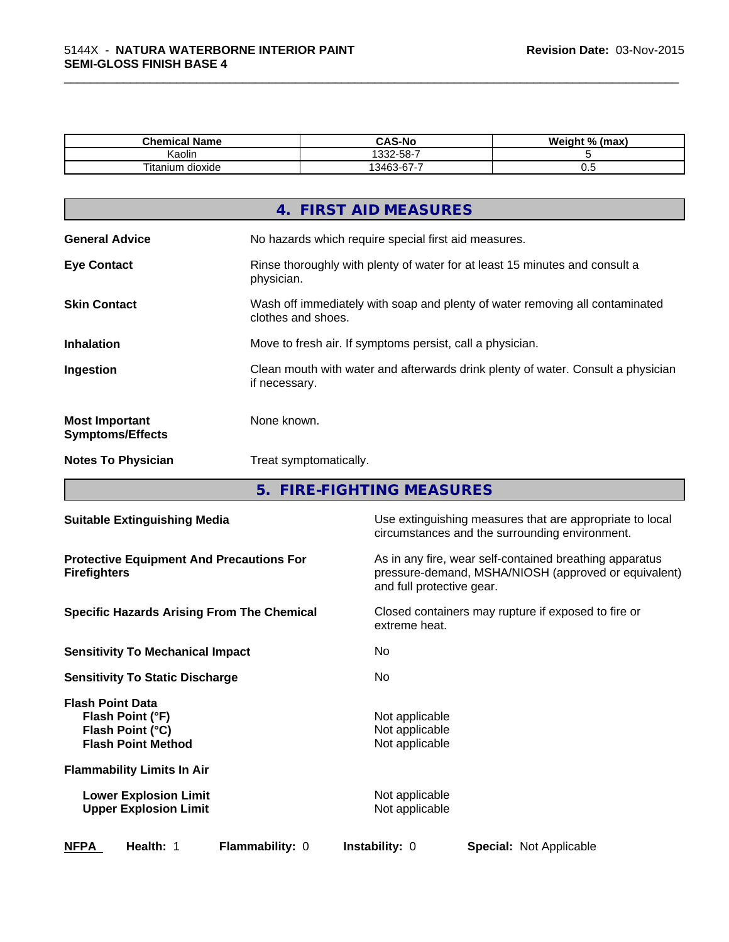| <b>Chemical Name</b>     | <b>CAS-No</b>                       | Weight %<br>(max |
|--------------------------|-------------------------------------|------------------|
| <br>Kaolin               | 332-58-7                            |                  |
| ÷.,<br>l itanium dioxide | -<br>$\sim$<br>13463<br>$\sim$<br>. | ◡.               |

\_\_\_\_\_\_\_\_\_\_\_\_\_\_\_\_\_\_\_\_\_\_\_\_\_\_\_\_\_\_\_\_\_\_\_\_\_\_\_\_\_\_\_\_\_\_\_\_\_\_\_\_\_\_\_\_\_\_\_\_\_\_\_\_\_\_\_\_\_\_\_\_\_\_\_\_\_\_\_\_\_\_\_\_\_\_\_\_\_\_\_\_\_

|                                                  | 4. FIRST AID MEASURES                                                                              |
|--------------------------------------------------|----------------------------------------------------------------------------------------------------|
| <b>General Advice</b>                            | No hazards which require special first aid measures.                                               |
| <b>Eye Contact</b>                               | Rinse thoroughly with plenty of water for at least 15 minutes and consult a<br>physician.          |
| <b>Skin Contact</b>                              | Wash off immediately with soap and plenty of water removing all contaminated<br>clothes and shoes. |
| <b>Inhalation</b>                                | Move to fresh air. If symptoms persist, call a physician.                                          |
| Ingestion                                        | Clean mouth with water and afterwards drink plenty of water. Consult a physician<br>if necessary.  |
| <b>Most Important</b><br><b>Symptoms/Effects</b> | None known.                                                                                        |
| <b>Notes To Physician</b>                        | Treat symptomatically.                                                                             |
|                                                  |                                                                                                    |

**5. FIRE-FIGHTING MEASURES**

| <b>Suitable Extinguishing Media</b>                                                          | Use extinguishing measures that are appropriate to local<br>circumstances and the surrounding environment.                                   |
|----------------------------------------------------------------------------------------------|----------------------------------------------------------------------------------------------------------------------------------------------|
| <b>Protective Equipment And Precautions For</b><br><b>Firefighters</b>                       | As in any fire, wear self-contained breathing apparatus<br>pressure-demand, MSHA/NIOSH (approved or equivalent)<br>and full protective gear. |
| <b>Specific Hazards Arising From The Chemical</b>                                            | Closed containers may rupture if exposed to fire or<br>extreme heat.                                                                         |
| <b>Sensitivity To Mechanical Impact</b>                                                      | No.                                                                                                                                          |
| <b>Sensitivity To Static Discharge</b>                                                       | No.                                                                                                                                          |
| <b>Flash Point Data</b><br>Flash Point (°F)<br>Flash Point (°C)<br><b>Flash Point Method</b> | Not applicable<br>Not applicable<br>Not applicable                                                                                           |
| <b>Flammability Limits In Air</b>                                                            |                                                                                                                                              |
| <b>Lower Explosion Limit</b><br><b>Upper Explosion Limit</b>                                 | Not applicable<br>Not applicable                                                                                                             |
| <b>NFPA</b><br>Health: 1<br><b>Flammability: 0</b>                                           | <b>Instability: 0</b><br>Special: Not Applicable                                                                                             |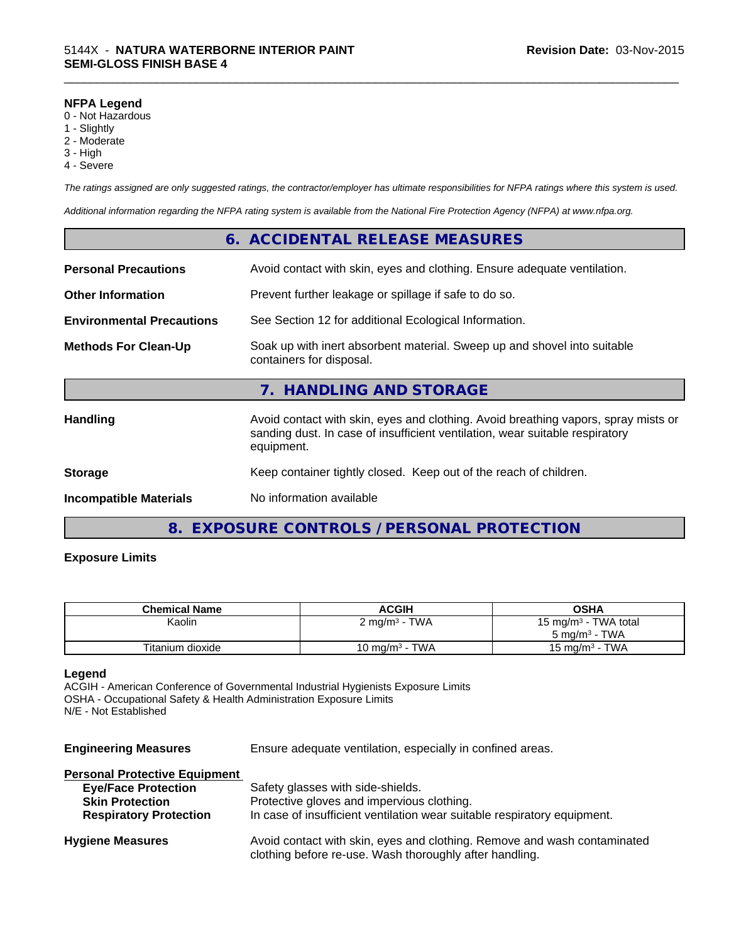#### **NFPA Legend**

- 0 Not Hazardous
- 1 Slightly
- 2 Moderate
- 3 High
- 4 Severe

*The ratings assigned are only suggested ratings, the contractor/employer has ultimate responsibilities for NFPA ratings where this system is used.*

\_\_\_\_\_\_\_\_\_\_\_\_\_\_\_\_\_\_\_\_\_\_\_\_\_\_\_\_\_\_\_\_\_\_\_\_\_\_\_\_\_\_\_\_\_\_\_\_\_\_\_\_\_\_\_\_\_\_\_\_\_\_\_\_\_\_\_\_\_\_\_\_\_\_\_\_\_\_\_\_\_\_\_\_\_\_\_\_\_\_\_\_\_

*Additional information regarding the NFPA rating system is available from the National Fire Protection Agency (NFPA) at www.nfpa.org.*

|                                  | 6. ACCIDENTAL RELEASE MEASURES                                                                                                                                                   |
|----------------------------------|----------------------------------------------------------------------------------------------------------------------------------------------------------------------------------|
| <b>Personal Precautions</b>      | Avoid contact with skin, eyes and clothing. Ensure adequate ventilation.                                                                                                         |
| <b>Other Information</b>         | Prevent further leakage or spillage if safe to do so.                                                                                                                            |
| <b>Environmental Precautions</b> | See Section 12 for additional Ecological Information.                                                                                                                            |
| <b>Methods For Clean-Up</b>      | Soak up with inert absorbent material. Sweep up and shovel into suitable<br>containers for disposal.                                                                             |
|                                  | 7. HANDLING AND STORAGE                                                                                                                                                          |
| <b>Handling</b>                  | Avoid contact with skin, eyes and clothing. Avoid breathing vapors, spray mists or<br>sanding dust. In case of insufficient ventilation, wear suitable respiratory<br>equipment. |
| <b>Storage</b>                   | Keep container tightly closed. Keep out of the reach of children.                                                                                                                |
| <b>Incompatible Materials</b>    | No information available                                                                                                                                                         |
|                                  |                                                                                                                                                                                  |

# **8. EXPOSURE CONTROLS / PERSONAL PROTECTION**

# **Exposure Limits**

| <b>Chemical Name</b> | <b>ACGIH</b>              | OSHA                             |
|----------------------|---------------------------|----------------------------------|
| Kaolin               | 2 mg/m <sup>3</sup> - TWA | 15 mg/m <sup>3</sup> - TWA total |
|                      |                           | $5 \text{ ma/m}^3$ - TWA         |
| Titanium dioxide     | 10 mg/m $3$ - TWA         | 15 mg/m <sup>3</sup> - TWA       |

#### **Legend**

ACGIH - American Conference of Governmental Industrial Hygienists Exposure Limits OSHA - Occupational Safety & Health Administration Exposure Limits N/E - Not Established

**Engineering Measures** Ensure adequate ventilation, especially in confined areas.

| <b>Personal Protective Equipment</b> |                                                                                                                                     |
|--------------------------------------|-------------------------------------------------------------------------------------------------------------------------------------|
| <b>Eye/Face Protection</b>           | Safety glasses with side-shields.                                                                                                   |
| <b>Skin Protection</b>               | Protective gloves and impervious clothing.                                                                                          |
| <b>Respiratory Protection</b>        | In case of insufficient ventilation wear suitable respiratory equipment.                                                            |
| <b>Hygiene Measures</b>              | Avoid contact with skin, eyes and clothing. Remove and wash contaminated<br>clothing before re-use. Wash thoroughly after handling. |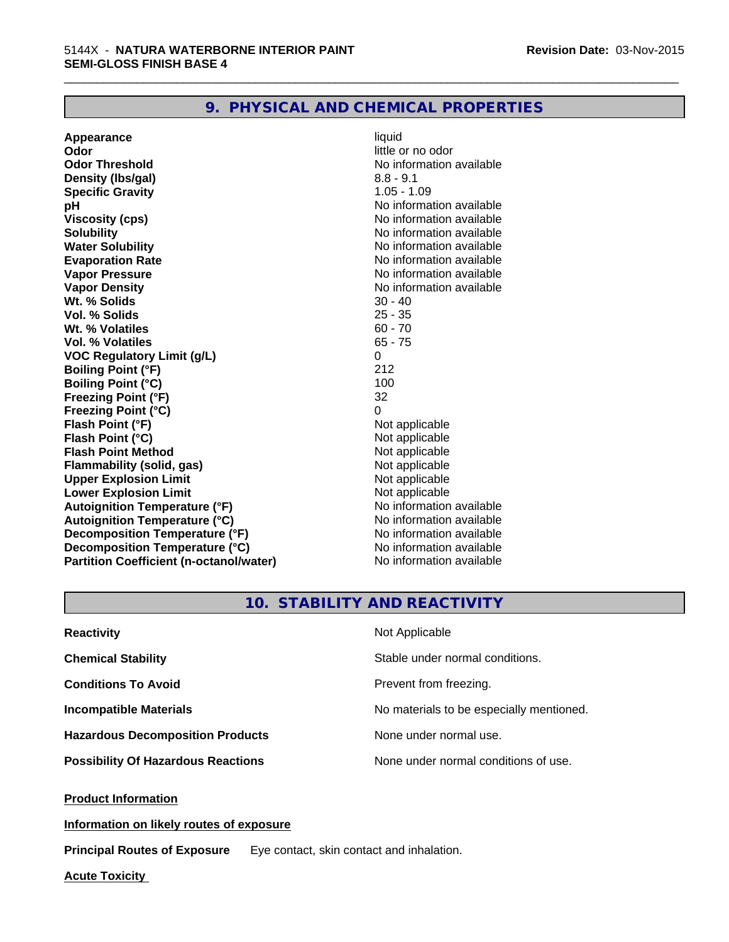# **9. PHYSICAL AND CHEMICAL PROPERTIES**

**Appearance** liquid **Odor** little or no odor **Odor Threshold No information available No information available Density (Ibs/gal)** 8.8 - 9.1 **Specific Gravity** 1.05 - 1.09 **pH pH**  $\blacksquare$ **Viscosity (cps)** No information available **Solubility Note 2008 Note 2008 Note 2008 Note 2008 Note 2008 Note 2008 Note 2008 Note 2008 Note 2008 Note 2008 Note 2008 Note 2008 Note 2008 Note 2008 Note 2008 Note 2008 Note 2008 Note Water Solubility No information available No information available Evaporation Rate No information available No information available Vapor Pressure** No information available **Vapor Density Vapor Density No information available Wt. % Solids** 30 - 40 **Vol. % Solids Wt. % Volatiles** 60 - 70 **Vol. % Volatiles** 65 - 75 **VOC Regulatory Limit (g/L)** 0 **Boiling Point (°F)** 212 **Boiling Point (°C)** 100<br> **Preezing Point (°F)** 32 **Freezing Point (°F) Freezing Point (°C)** 0 **Flash Point (°F)**<br> **Flash Point (°C)**<br> **Flash Point (°C)**<br> **C Flash Point (°C)**<br> **Flash Point Method**<br> **Flash Point Method**<br> **Point Method**<br> **Point Method**<br> **Point Method Flash Point Method Flammability (solid, gas)** Not applicable<br> **Upper Explosion Limit** Not applicable<br>
Not applicable **Upper Explosion Limit Lower Explosion Limit Contract Accord Accord Accord Accord Accord Accord Accord Accord Accord Accord Accord Accord Accord Accord Accord Accord Accord Accord Accord Accord Accord Accord Accord Accord Accord Accord Accord Autoignition Temperature (°F)**<br> **Autoignition Temperature (°C)** No information available **Autoignition Temperature (°C) Decomposition Temperature (°F)** No information available **Decomposition Temperature (°C)** No information available<br> **Partition Coefficient (n-octanol/water)** No information available **Partition Coefficient (n-octanol/water)** 

\_\_\_\_\_\_\_\_\_\_\_\_\_\_\_\_\_\_\_\_\_\_\_\_\_\_\_\_\_\_\_\_\_\_\_\_\_\_\_\_\_\_\_\_\_\_\_\_\_\_\_\_\_\_\_\_\_\_\_\_\_\_\_\_\_\_\_\_\_\_\_\_\_\_\_\_\_\_\_\_\_\_\_\_\_\_\_\_\_\_\_\_\_

# **10. STABILITY AND REACTIVITY**

| <b>Reactivity</b>                         | Not Applicable                           |
|-------------------------------------------|------------------------------------------|
| <b>Chemical Stability</b>                 | Stable under normal conditions.          |
| <b>Conditions To Avoid</b>                | Prevent from freezing.                   |
| <b>Incompatible Materials</b>             | No materials to be especially mentioned. |
| <b>Hazardous Decomposition Products</b>   | None under normal use.                   |
| <b>Possibility Of Hazardous Reactions</b> | None under normal conditions of use.     |

**Product Information**

**Information on likely routes of exposure**

**Principal Routes of Exposure** Eye contact, skin contact and inhalation.

**Acute Toxicity**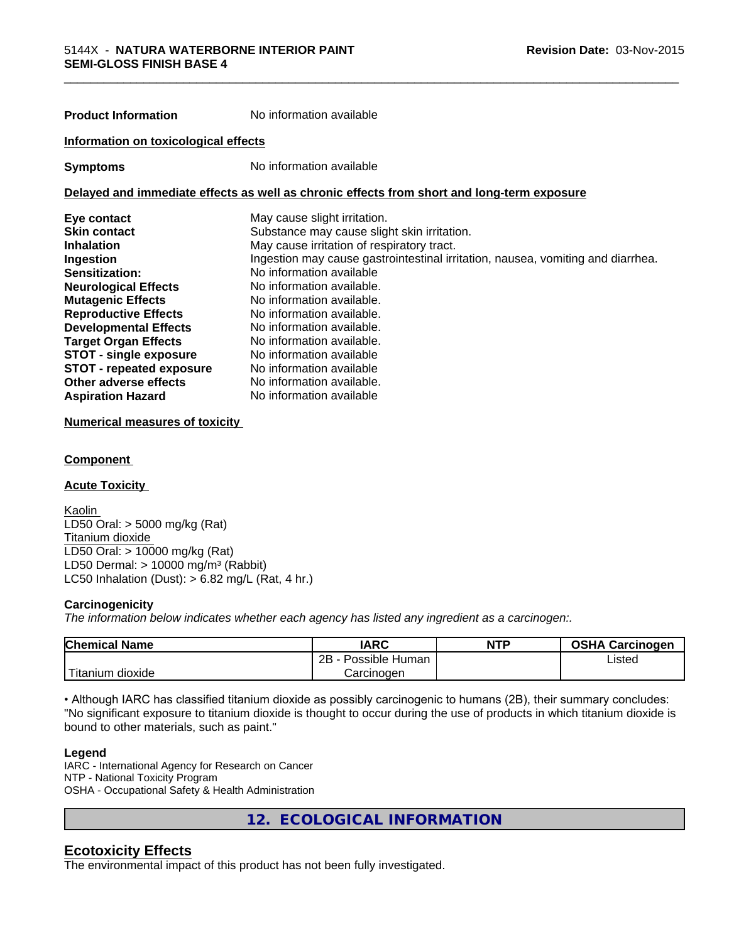| <b>Product Information</b>           | No information available                                                                   |
|--------------------------------------|--------------------------------------------------------------------------------------------|
| Information on toxicological effects |                                                                                            |
| <b>Symptoms</b>                      | No information available                                                                   |
|                                      | Delayed and immediate effects as well as chronic effects from short and long-term exposure |
| Eye contact                          | May cause slight irritation.                                                               |
| <b>Skin contact</b>                  | Substance may cause slight skin irritation.                                                |
| <b>Inhalation</b>                    | May cause irritation of respiratory tract.                                                 |
| Ingestion                            | Ingestion may cause gastrointestinal irritation, nausea, vomiting and diarrhea.            |
| Sensitization:                       | No information available                                                                   |
| <b>Neurological Effects</b>          | No information available.                                                                  |
| <b>Mutagenic Effects</b>             | No information available.                                                                  |
| <b>Reproductive Effects</b>          | No information available.                                                                  |
| <b>Developmental Effects</b>         | No information available.                                                                  |
| <b>Target Organ Effects</b>          | No information available.                                                                  |
| <b>STOT - single exposure</b>        | No information available                                                                   |
| <b>STOT - repeated exposure</b>      | No information available                                                                   |
| Other adverse effects                | No information available.                                                                  |
| <b>Aspiration Hazard</b>             | No information available                                                                   |

# **Numerical measures of toxicity**

# **Component**

#### **Acute Toxicity**

Kaolin LD50 Oral: > 5000 mg/kg (Rat) Titanium dioxide LD50 Oral: > 10000 mg/kg (Rat) LD50 Dermal:  $> 10000$  mg/m<sup>3</sup> (Rabbit) LC50 Inhalation (Dust):  $> 6.82$  mg/L (Rat, 4 hr.)

#### **Carcinogenicity**

*The information below indicateswhether each agency has listed any ingredient as a carcinogen:.*

| <b>Chemical Name</b>          | <b>IARC</b>          | <b>NTP</b> | <b>OSHA Carcinogen</b> |
|-------------------------------|----------------------|------------|------------------------|
|                               | 2B<br>Possible Human |            | Listed                 |
| $-1$<br>n dioxide<br>ritanium | Carcinogen           |            |                        |

• Although IARC has classified titanium dioxide as possibly carcinogenic to humans (2B), their summary concludes: "No significant exposure to titanium dioxide is thought to occur during the use of products in which titanium dioxide is bound to other materials, such as paint."

#### **Legend**

IARC - International Agency for Research on Cancer NTP - National Toxicity Program OSHA - Occupational Safety & Health Administration

**12. ECOLOGICAL INFORMATION**

# **Ecotoxicity Effects**

The environmental impact of this product has not been fully investigated.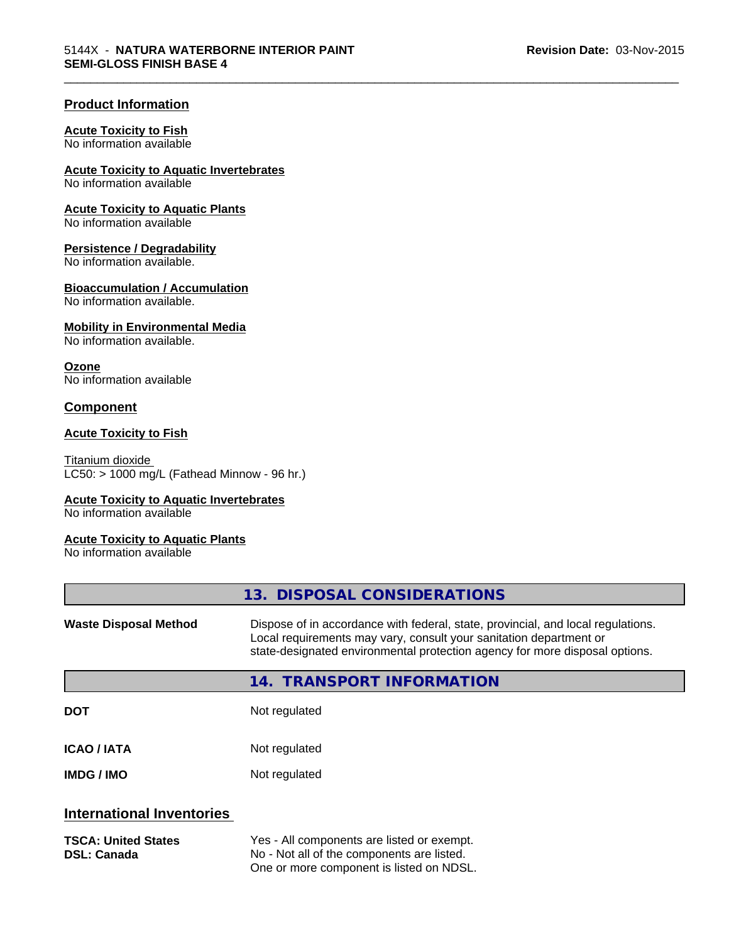\_\_\_\_\_\_\_\_\_\_\_\_\_\_\_\_\_\_\_\_\_\_\_\_\_\_\_\_\_\_\_\_\_\_\_\_\_\_\_\_\_\_\_\_\_\_\_\_\_\_\_\_\_\_\_\_\_\_\_\_\_\_\_\_\_\_\_\_\_\_\_\_\_\_\_\_\_\_\_\_\_\_\_\_\_\_\_\_\_\_\_\_\_

# **Product Information**

#### **Acute Toxicity to Fish**

No information available

# **Acute Toxicity to Aquatic Invertebrates**

No information available

# **Acute Toxicity to Aquatic Plants**

No information available

# **Persistence / Degradability**

No information available.

# **Bioaccumulation / Accumulation**

No information available.

# **Mobility in Environmental Media**

No information available.

# **Ozone**

No information available

# **Component**

# **Acute Toxicity to Fish**

Titanium dioxide  $LC50:$  > 1000 mg/L (Fathead Minnow - 96 hr.)

# **Acute Toxicity to Aquatic Invertebrates**

No information available

# **Acute Toxicity to Aquatic Plants**

No information available

|                                                  | 13. DISPOSAL CONSIDERATIONS                                                                                                                                                                                                           |
|--------------------------------------------------|---------------------------------------------------------------------------------------------------------------------------------------------------------------------------------------------------------------------------------------|
| <b>Waste Disposal Method</b>                     | Dispose of in accordance with federal, state, provincial, and local regulations.<br>Local requirements may vary, consult your sanitation department or<br>state-designated environmental protection agency for more disposal options. |
|                                                  | 14. TRANSPORT INFORMATION                                                                                                                                                                                                             |
| <b>DOT</b>                                       | Not regulated                                                                                                                                                                                                                         |
| <b>ICAO / IATA</b>                               | Not regulated                                                                                                                                                                                                                         |
| <b>IMDG/IMO</b>                                  | Not regulated                                                                                                                                                                                                                         |
| <b>International Inventories</b>                 |                                                                                                                                                                                                                                       |
| <b>TSCA: United States</b><br><b>DSL: Canada</b> | Yes - All components are listed or exempt.<br>No - Not all of the components are listed.<br>One or more component is listed on NDSL.                                                                                                  |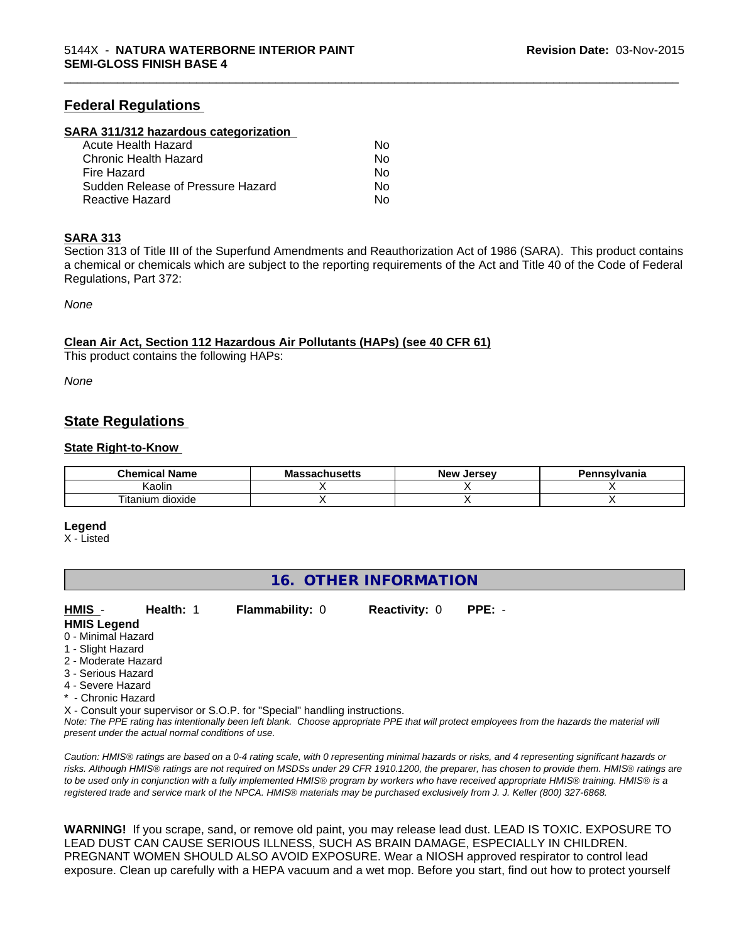# **Federal Regulations**

#### **SARA 311/312 hazardous categorization**

| Acute Health Hazard               | Nο |  |
|-----------------------------------|----|--|
| Chronic Health Hazard             | N٥ |  |
| Fire Hazard                       | N٥ |  |
| Sudden Release of Pressure Hazard | Nο |  |
| Reactive Hazard                   | Nο |  |

#### **SARA 313**

Section 313 of Title III of the Superfund Amendments and Reauthorization Act of 1986 (SARA). This product contains a chemical or chemicals which are subject to the reporting requirements of the Act and Title 40 of the Code of Federal Regulations, Part 372:

\_\_\_\_\_\_\_\_\_\_\_\_\_\_\_\_\_\_\_\_\_\_\_\_\_\_\_\_\_\_\_\_\_\_\_\_\_\_\_\_\_\_\_\_\_\_\_\_\_\_\_\_\_\_\_\_\_\_\_\_\_\_\_\_\_\_\_\_\_\_\_\_\_\_\_\_\_\_\_\_\_\_\_\_\_\_\_\_\_\_\_\_\_

*None*

#### **Clean Air Act,Section 112 Hazardous Air Pollutants (HAPs) (see 40 CFR 61)**

This product contains the following HAPs:

*None*

# **State Regulations**

#### **State Right-to-Know**

| Chemical<br><b>Name</b><br>л | - -<br>บแนวဗแว | Jersev<br>New <sup>.</sup> | <b>1nsvlvania</b> |
|------------------------------|----------------|----------------------------|-------------------|
| Kaolir                       |                |                            |                   |
| l itanium<br>dioxide         |                |                            |                   |

#### **Legend**

X - Listed

# **16. OTHER INFORMATION**

|  | HMIS - | Health: 1 | <b>Flammability: 0</b> | <b>Reactivity: 0</b> | PPE: - |  |
|--|--------|-----------|------------------------|----------------------|--------|--|
|--|--------|-----------|------------------------|----------------------|--------|--|

- **HMIS Legend**
- 0 Minimal Hazard
- 1 Slight Hazard
- 2 Moderate Hazard
- 3 Serious Hazard
- 4 Severe Hazard
- \* Chronic Hazard

X - Consult your supervisor or S.O.P. for "Special" handling instructions.

*Note: The PPE rating has intentionally been left blank. Choose appropriate PPE that will protect employees from the hazards the material will present under the actual normal conditions of use.*

*Caution: HMISÒ ratings are based on a 0-4 rating scale, with 0 representing minimal hazards or risks, and 4 representing significant hazards or risks. Although HMISÒ ratings are not required on MSDSs under 29 CFR 1910.1200, the preparer, has chosen to provide them. HMISÒ ratings are to be used only in conjunction with a fully implemented HMISÒ program by workers who have received appropriate HMISÒ training. HMISÒ is a registered trade and service mark of the NPCA. HMISÒ materials may be purchased exclusively from J. J. Keller (800) 327-6868.*

**WARNING!** If you scrape, sand, or remove old paint, you may release lead dust. LEAD IS TOXIC. EXPOSURE TO LEAD DUST CAN CAUSE SERIOUS ILLNESS, SUCH AS BRAIN DAMAGE, ESPECIALLY IN CHILDREN. PREGNANT WOMEN SHOULD ALSO AVOID EXPOSURE.Wear a NIOSH approved respirator to control lead exposure. Clean up carefully with a HEPA vacuum and a wet mop. Before you start, find out how to protect yourself